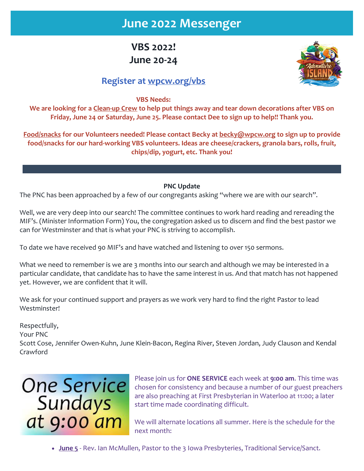# **June 2022 Messenger**

**VBS 2022! June 20-24**



## **Register at [wpcw.org/vbs](https://r20.rs6.net/tn.jsp?f=001z_9utLNwaduytiiaQdgt9EJCbyPNh12iJVDnwO7jUI9MbT_eNEcINHOAsYQQHNAujzZ6ES1zqCDaMbGyZkRC5seZeK282JvA-t5s691G8lh3FlGO86NlA2BdfOb3Zr53Kl6El7QrzxFeS3IFwIXCUw==&c=SzVxJXZsKr--itffzo-QVPP4ulNpkq7Zf2C6d3RLMpk-d-7LOP08Bw==&ch=2tNcwCgRoWqB7YrbL0tizNLaPoa34iwFjSkZRTV-VyrBTOP7u2EezQ==)**

**VBS Needs:**

**We are looking for a Clean-up Crew to help put things away and tear down decorations after VBS on Friday, June 24 or Saturday, June 25. Please contact Dee to sign up to help!! Thank you.**

**Food/snacks for our Volunteers needed! Please contact Becky at [becky@wpcw.org](mailto:becky@wpcw.org) to sign up to provide food/snacks for our hard-working VBS volunteers. Ideas are cheese/crackers, granola bars, rolls, fruit, chips/dip, yogurt, etc. Thank you!**

#### **PNC Update**

The PNC has been approached by a few of our congregants asking "where we are with our search".

Well, we are very deep into our search! The committee continues to work hard reading and rereading the MIF's. (Minister Information Form) You, the congregation asked us to discern and find the best pastor we can for Westminster and that is what your PNC is striving to accomplish.

To date we have received 90 MIF's and have watched and listening to over 150 sermons.

What we need to remember is we are 3 months into our search and although we may be interested in a particular candidate, that candidate has to have the same interest in us. And that match has not happened yet. However, we are confident that it will.

We ask for your continued support and prayers as we work very hard to find the right Pastor to lead Westminster!

Respectfully,

Your PNC

Scott Cose, Jennifer Owen-Kuhn, June Klein-Bacon, Regina River, Steven Jordan, Judy Clauson and Kendal Crawford



Please join us for **ONE SERVICE** each week at **9:00 am**. This time was chosen for consistency and because a number of our guest preachers are also preaching at First Presbyterian in Waterloo at 11:00; a later start time made coordinating difficult.

We will alternate locations all summer. Here is the schedule for the next month:

• **June 5** - Rev. Ian McMullen, Pastor to the 3 Iowa Presbyteries, Traditional Service/Sanct.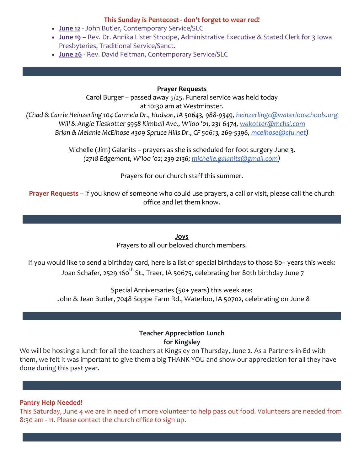#### **This Sunday is Pentecost - don't forget to wear red!**

- **June 12** John Butler, Contemporary Service/SLC
- **June 19** Rev. Dr. Annika Lister Stroope, Administrative Executive & Stated Clerk for 3 Iowa Presbyteries, Traditional Service/Sanct.
- **June 26** Rev. David Feltman, Contemporary Service/SLC

#### **Prayer Requests**

Carol Burger – passed away 5/25. Funeral service was held today at 10:30 am at Westminster.

*(Chad & Carrie Heinzerling 104 Carmela Dr., Hudson, IA 50643, 988-9349, [heinzerlingc@waterlooschools.org](mailto:heinzerlingc@waterlooschools.org) Will & Angie Tieskotter 5958 Kimball Ave., W'loo '01, 231-6474[, wakotter@mchsi.com](mailto:wakotter@mchsi.com) Brian & Melanie McElhose 4309 Spruce Hills Dr., CF 50613, 269-5396[, mcelhose@cfu.net\)](mailto:mcelhose@cfu.net)* 

> Michelle (Jim) Galanits – prayers as she is scheduled for foot surgery June 3. *(2718 Edgemont, W'loo '02; 239-2136[; michelle.galanits@gmail.com\)](mailto:michelle.galanits@gmail.com)*

> > Prayers for our church staff this summer.

**Prayer Requests** – if you know of someone who could use prayers, a call or visit, please call the church office and let them know.

> **Joys** Prayers to all our beloved church members.

If you would like to send a birthday card, here is a list of special birthdays to those 80+ years this week: Joan Schafer, 2529 160<sup>th</sup> St., Traer, IA 50675, celebrating her 80th birthday June 7

Special Anniversaries (50+ years) this week are: John & Jean Butler, 7048 Soppe Farm Rd., Waterloo, IA 50702, celebrating on June 8

> **Teacher Appreciation Lunch for Kingsley**

We will be hosting a lunch for all the teachers at Kingsley on Thursday, June 2. As a Partners-in-Ed with them, we felt it was important to give them a big THANK YOU and show our appreciation for all they have done during this past year.

#### **Pantry Help Needed!**

This Saturday, June 4 we are in need of 1 more volunteer to help pass out food. Volunteers are needed from 8:30 am - 11. Please contact the church office to sign up.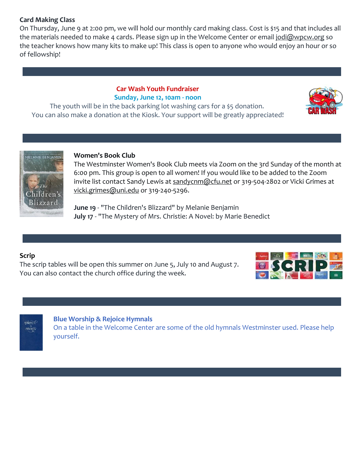#### **Card Making Class**

On Thursday, June 9 at 2:00 pm, we will hold our monthly card making class. Cost is \$15 and that includes all the materials needed to make 4 cards. Please sign up in the Welcome Center or email [jodi@wpcw.org](mailto:jodi@wpcw.org) so the teacher knows how many kits to make up! This class is open to anyone who would enjoy an hour or so of fellowship!

### **Car Wash Youth Fundraiser Sunday, June 12, 10am - noon**

The youth will be in the back parking lot washing cars for a \$5 donation. You can also make a donation at the Kiosk. Your support will be greatly appreciated!





#### **Women's Book Club**

The Westminster Women's Book Club meets via Zoom on the 3rd Sunday of the month at 6:00 pm. This group is open to all women! If you would like to be added to the Zoom invite list contact Sandy Lewis at [sandycnm@cfu.net](mailto:sandycnm@cfu.net) or 319-504-2802 or Vicki Grimes at [vicki.grimes@uni.edu](mailto:vicki.grimes@uni.edu) or 319-240-5296.

**June 19** - "The Children's Blizzard" by Melanie Benjamin **July 17** - "The Mystery of Mrs. Christie: A Novel: by Marie Benedict

#### **Scrip**

The scrip tables will be open this summer on June 5, July 10 and August 7. You can also contact the church office during the week.





#### **Blue Worship & Rejoice Hymnals**

On a table in the Welcome Center are some of the old hymnals Westminster used. Please help yourself.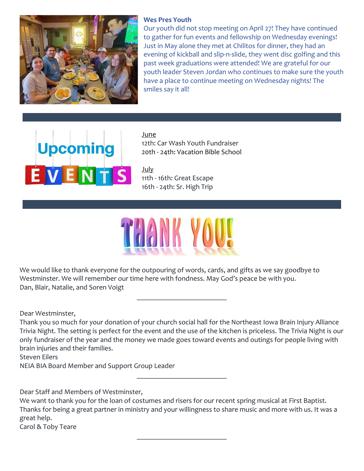

#### **Wes Pres Youth**

Our youth did not stop meeting on April 27! They have continued to gather for fun events and fellowship on Wednesday evenings! Just in May alone they met at Chilitos for dinner, they had an evening of kickball and slip-n-slide, they went disc golfing and this past week graduations were attended! We are grateful for our youth leader Steven Jordan who continues to make sure the youth have a place to continue meeting on Wednesday nights! The smiles say it all!

# **Upcoming** EVENTS

June 12th: Car Wash Youth Fundraiser 20th - 24th: Vacation Bible School

July 11th - 16th: Great Escape 16th - 24th: Sr. High Trip



We would like to thank everyone for the outpouring of words, cards, and gifts as we say goodbye to Westminster. We will remember our time here with fondness. May God's peace be with you. Dan, Blair, Natalie, and Soren Voigt

Dear Westminster,

Thank you so much for your donation of your church social hall for the Northeast Iowa Brain Injury Alliance Trivia Night. The setting is perfect for the event and the use of the kitchen is priceless. The Trivia Night is our only fundraiser of the year and the money we made goes toward events and outings for people living with brain injuries and their families.

\_\_\_\_\_\_\_\_\_\_\_\_\_\_\_\_\_\_\_\_\_\_\_\_\_

\_\_\_\_\_\_\_\_\_\_\_\_\_\_\_\_\_\_\_\_\_\_\_\_\_

Steven Eilers NEIA BIA Board Member and Support Group Leader

Dear Staff and Members of Westminster,

We want to thank you for the loan of costumes and risers for our recent spring musical at First Baptist. Thanks for being a great partner in ministry and your willingness to share music and more with us. It was a great help. Carol & Toby Teare

\_\_\_\_\_\_\_\_\_\_\_\_\_\_\_\_\_\_\_\_\_\_\_\_\_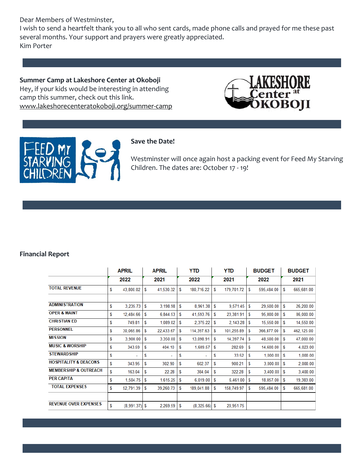Dear Members of Westminster,

I wish to send a heartfelt thank you to all who sent cards, made phone calls and prayed for me these past several months. Your support and prayers were greatly appreciated. Kim Porter

**Summer Camp at Lakeshore Center at Okoboji** Hey, if your kids would be interesting in attending camp this summer, check out this link. [www.lakeshorecenteratokoboji.org/summer-camp](https://r20.rs6.net/tn.jsp?f=001z_9utLNwaduytiiaQdgt9EJCbyPNh12iJVDnwO7jUI9MbT_eNEcINIJmsuHZ7AuoC4e3a7tBioRfsb-6Bfy6-qw8vPHtSK3NDo38rixDIymTbOP9eoYSUsIWspzojP1jbQ-D-KXo2PLeUV8R7vvrM1ZiewGieYhOsMbaOmXCb6APv1_-KcfPgw==&c=SzVxJXZsKr--itffzo-QVPP4ulNpkq7Zf2C6d3RLMpk-d-7LOP08Bw==&ch=2tNcwCgRoWqB7YrbL0tizNLaPoa34iwFjSkZRTV-VyrBTOP7u2EezQ==)





#### **Save the Date!**

Westminster will once again host a packing event for Feed My Starving Children. The dates are: October 17 - 19!

#### **Financial Report**

|                                  | <b>APRIL</b> |                 | <b>APRIL</b> |           | YTD |                 | YTD |            | <b>BUDGET</b> |            | <b>BUDGET</b> |            |
|----------------------------------|--------------|-----------------|--------------|-----------|-----|-----------------|-----|------------|---------------|------------|---------------|------------|
|                                  |              | 2022            |              | 2021      |     | 2022            |     | 2021       |               | 2022       |               | 2021       |
| <b>TOTAL REVENUE</b>             | S            | 43,800.02       | S            | 41,530.32 | S   | 180,716.22      | S   | 179,701.72 | S             | 595,484.00 | S             | 665,681.00 |
|                                  |              |                 |              |           |     |                 |     |            |               |            |               |            |
| <b>ADMINISTRATION</b>            | S            | 3,235.73        | S            | 3,198.98  | S   | 8,961.38        | S   | 9,571.45   | S             | 29,500.00  | S             | 26,200.00  |
| <b>OPER &amp; MAINT</b>          | S            | 12,484.66       | S            | 6,844.53  | S   | 41,593.76       | S   | 23,381.91  | S             | 95,000.00  | S             | 86,000.00  |
| <b>CHRISTIAN ED</b>              | S            | 749.81          | S            | 1,089.02  | S   | 2,375.22        | S   | 2,143.28   | S             | 15,550.00  | S             | 14,550.00  |
| <b>PERSONNEL</b>                 | S            | 30,065.86       | S            | 22,433.67 | S   | 114,397.63      | S   | 101.255.89 | S             | 366,877.00 | S             | 462,125.00 |
| <b>MISSION</b>                   | S            | 3,900.00        | S            | 3,350.00  | S   | 13,098.91       | S   | 14,397.74  | S             | 48,500.00  | S             | 47,000.00  |
| <b>MUSIC &amp; WORSHIP</b>       | S            | 343.59          | S            | 404.10    | S   | 1,609.57        | S   | 282.69     | S             | 14,600.00  | S             | 4,023.00   |
| <b>STEWARDSHIP</b>               | S            |                 | S            |           | S   | ٠               | S   | 33.52      | S             | 1,000.00   | S             | 1,000.00   |
| <b>HOSPITALITY &amp; DEACONS</b> | S            | 343.95          | S            | 302.90    | S   | 602.37          | S   | 900.21     | S             | 3,000.00   | S             | 2,000.00   |
| <b>MEMBERSHIP &amp; OUTREACH</b> | S            | 163.04          | S            | 22.28     | S   | 384.04          | S   | 322.28     | S             | 3,400.00   | S             | 3,400.00   |
| <b>PER CAPITA</b>                | S            | 1,504.75        | S            | 1,615.25  | S   | 6,019.00        | S   | 6,461.00   | S             | 18,057.00  | S             | 19,383.00  |
| <b>TOTAL EXPENSES</b>            | S            | 52,791.39       | S            | 39,260.73 | S   | 189,041.88      | S   | 158,749.97 | S             | 595,484.00 | S             | 665,681.00 |
|                                  |              |                 |              |           |     |                 |     |            |               |            |               |            |
| <b>REVENUE OVER EXPENSES</b>     | S            | $(8,991.37)$ \$ |              | 2,269.59  | S   | $(8,325.66)$ \$ |     | 20,951.75  |               |            |               |            |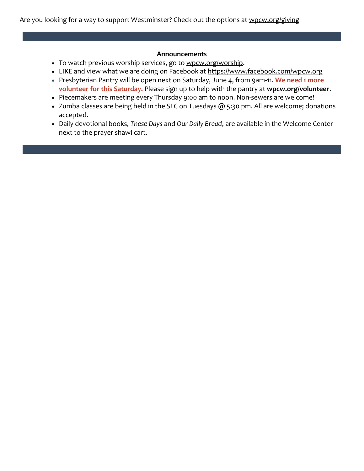Are you looking for a way to support Westminster? Check out the options at [wpcw.org/giving](https://r20.rs6.net/tn.jsp?f=001z_9utLNwaduytiiaQdgt9EJCbyPNh12iJVDnwO7jUI9MbT_eNEcINLv7Ix3X6qUg6T5ITf7VbWWw0Fq4EHb4fq1ZbCDirzLLBeV-ZcNRsNuJsOsidEwzp2kfr2yR_krgs9krZ4V2aNUP2zGz9YXWaw==&c=SzVxJXZsKr--itffzo-QVPP4ulNpkq7Zf2C6d3RLMpk-d-7LOP08Bw==&ch=2tNcwCgRoWqB7YrbL0tizNLaPoa34iwFjSkZRTV-VyrBTOP7u2EezQ==)

#### **Announcements**

- To watch previous worship services, go to [wpcw.org/worship.](https://r20.rs6.net/tn.jsp?f=001z_9utLNwaduytiiaQdgt9EJCbyPNh12iJVDnwO7jUI9MbT_eNEcINOaEe5Rbh5wwpbkfeRHrPqm1Nf39D0XsNrDUKPVzG2wkPixWcSHREQeU3tTE2LKL4Ot6NgeuQDG63q_YihiF6jk_-tJLMRD2jg==&c=SzVxJXZsKr--itffzo-QVPP4ulNpkq7Zf2C6d3RLMpk-d-7LOP08Bw==&ch=2tNcwCgRoWqB7YrbL0tizNLaPoa34iwFjSkZRTV-VyrBTOP7u2EezQ==)
- LIKE and view what we are doing on Facebook at [https://www.facebook.com/wpcw.org](https://r20.rs6.net/tn.jsp?f=001z_9utLNwaduytiiaQdgt9EJCbyPNh12iJVDnwO7jUI9MbT_eNEcINOS_WtMAuIbOZ1LtUAxY2nEvXB7f36DI23AI7ngkKMTW5JuHHKgVNy_vnu-FX5hCiMSECR2UbCbQJ2Y3LODeUjITGV0WEXswZBYGrnp2HiEE&c=SzVxJXZsKr--itffzo-QVPP4ulNpkq7Zf2C6d3RLMpk-d-7LOP08Bw==&ch=2tNcwCgRoWqB7YrbL0tizNLaPoa34iwFjSkZRTV-VyrBTOP7u2EezQ==)
- Presbyterian Pantry will be open next on Saturday, June 4, from 9am-11. **We need 1 more volunteer for this Saturday.** Please sign up to help with the pantry at **[wpcw.org/volunteer](https://r20.rs6.net/tn.jsp?f=001z_9utLNwaduytiiaQdgt9EJCbyPNh12iJVDnwO7jUI9MbT_eNEcINKcslfoGxVQ09OqaecT7h7b8ovEFmt45nob_chc52Scx_e3tFAZF-40FDUosL1MXtWhjLub2TKduaw9ihKB89_rzutL2huUPhQ==&c=SzVxJXZsKr--itffzo-QVPP4ulNpkq7Zf2C6d3RLMpk-d-7LOP08Bw==&ch=2tNcwCgRoWqB7YrbL0tizNLaPoa34iwFjSkZRTV-VyrBTOP7u2EezQ==)**.
- Piecemakers are meeting every Thursday 9:00 am to noon. Non-sewers are welcome!
- Zumba classes are being held in the SLC on Tuesdays @ 5:30 pm. All are welcome; donations accepted.
- Daily devotional books, *These Days* and *Our Daily Bread*, are available in the Welcome Center next to the prayer shawl cart.